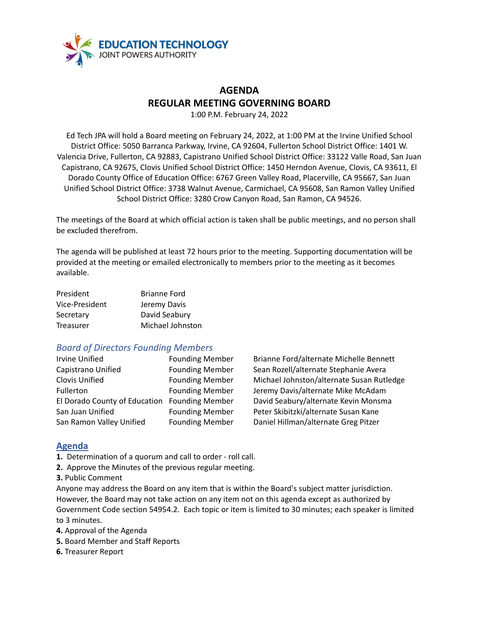

## **AGENDA REGULAR MEETING GOVERNING BOARD**

1:00 P.M. February 24, 2022

Ed Tech JPA will hold a Board meeting on February 24, 2022, at 1:00 PM at the Irvine Unified School District Office: 5050 Barranca Parkway, Irvine, CA 92604, Fullerton School District Office: 1401 W. Valencia Drive, Fullerton, CA 92883, Capistrano Unified School District Office: 33122 Valle Road, San Juan Capistrano, CA 92675, Clovis Unified School District Office: 1450 Herndon Avenue, Clovis, CA 93611, El Dorado County Office of Education Office: 6767 Green Valley Road, Placerville, CA 95667, San Juan Unified School District Office: 3738 Walnut Avenue, Carmichael, CA 95608, San Ramon Valley Unified School District Office: 3280 Crow Canyon Road, San Ramon, CA 94526.

The meetings of the Board at which official action is taken shall be public meetings, and no person shall be excluded therefrom.

The agenda will be published at least 72 hours prior to the meeting. Supporting documentation will be provided at the meeting or emailed electronically to members prior to the meeting as it becomes available.

| President      | <b>Brianne Ford</b> |
|----------------|---------------------|
| Vice-President | Jeremy Davis        |
| Secretary      | David Seabury       |
| Treasurer      | Michael Johnston    |

## *Board of Directors Founding Members*

| <b>Irvine Unified</b>                        | <b>Founding Membe</b> |
|----------------------------------------------|-----------------------|
| Capistrano Unified                           | <b>Founding Membe</b> |
| Clovis Unified                               | <b>Founding Membe</b> |
| Fullerton                                    | <b>Founding Membe</b> |
| El Dorado County of Education Founding Membe |                       |
| San Juan Unified                             | <b>Founding Membe</b> |
| San Ramon Valley Unified                     | <b>Founding Membe</b> |

Irving Brianne Ford/alternate Michelle Bennett r Sean Rozell/alternate Stephanie Avera r Michael Johnston/alternate Susan Rutledge Fullerton Founding Davis/alternate Mike McAdam El Dorado County of Education Founding Member David Seabury/alternate Kevin Monsma er Peter Skibitzki/alternate Susan Kane **The Chambel Hillman/alternate Greg Pitzer** 

## **Agenda**

**1.** Determination of a quorum and call to order - roll call.

**2.** Approve the Minutes of the previous regular meeting.

**3.** Public Comment

Anyone may address the Board on any item that is within the Board's subject matter jurisdiction. However, the Board may not take action on any item not on this agenda except as authorized by Government Code section 54954.2. Each topic or item is limited to 30 minutes; each speaker is limited to 3 minutes.

**4.** Approval of the Agenda

- **5.** Board Member and Staff Reports
- **6.** Treasurer Report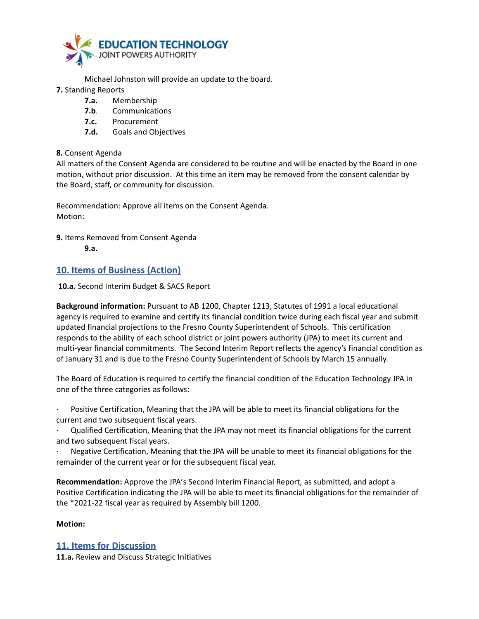

Michael Johnston will provide an update to the board.

- **7.** Standing Reports
	- **7.a.** Membership
	- **7.b**. Communications
	- **7.c.** Procurement
	- **7.d.** Goals and Objectives

#### **8.** Consent Agenda

All matters of the Consent Agenda are considered to be routine and will be enacted by the Board in one motion, without prior discussion. At this time an item may be removed from the consent calendar by the Board, staff, or community for discussion.

Recommendation: Approve all items on the Consent Agenda. Motion:

**9.** Items Removed from Consent Agenda **9.a.**

## **10. Items of Business (Action)**

**10.a.** Second Interim Budget & SACS Report

**Background information:** Pursuant to AB 1200, Chapter 1213, Statutes of 1991 a local educational agency is required to examine and certify its financial condition twice during each fiscal year and submit updated financial projections to the Fresno County Superintendent of Schools. This certification responds to the ability of each school district or joint powers authority (JPA) to meet its current and multi-year financial commitments. The Second Interim Report reflects the agency's financial condition as of January 31 and is due to the Fresno County Superintendent of Schools by March 15 annually.

The Board of Education is required to certify the financial condition of the Education Technology JPA in one of the three categories as follows:

Positive Certification, Meaning that the JPA will be able to meet its financial obligations for the current and two subsequent fiscal years.

· Qualified Certification, Meaning that the JPA may not meet its financial obligations for the current and two subsequent fiscal years.

Negative Certification, Meaning that the JPA will be unable to meet its financial obligations for the remainder of the current year or for the subsequent fiscal year.

**Recommendation:** Approve the JPA's Second Interim Financial Report, as submitted, and adopt a Positive Certification indicating the JPA will be able to meet its financial obligations for the remainder of the \*2021-22 fiscal year as required by Assembly bill 1200.

#### **Motion:**

#### **11. Items for Discussion**

**11.a.** Review and Discuss Strategic Initiatives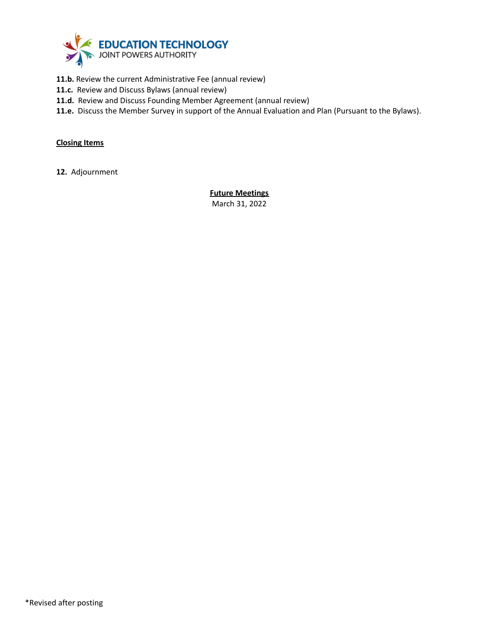

- **11.b.** Review the current Administrative Fee (annual review)
- **11.c.** Review and Discuss Bylaws (annual review)
- **11.d.** Review and Discuss Founding Member Agreement (annual review)
- **11.e.** Discuss the Member Survey in support of the Annual Evaluation and Plan (Pursuant to the Bylaws).

#### **Closing Items**

**12.** Adjournment

**Future Meetings** March 31, 2022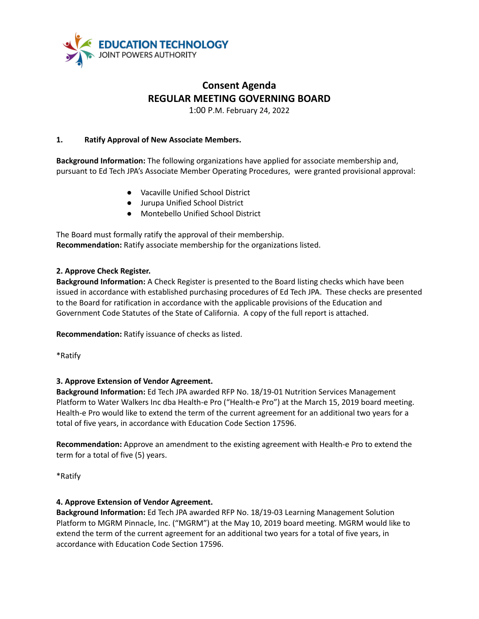

# **Consent Agenda REGULAR MEETING GOVERNING BOARD**

1:00 P.M. February 24, 2022

#### **1. Ratify Approval of New Associate Members.**

**Background Information:** The following organizations have applied for associate membership and, pursuant to Ed Tech JPA's Associate Member Operating Procedures, were granted provisional approval:

- Vacaville Unified School District
- Jurupa Unified School District
- Montebello Unified School District

The Board must formally ratify the approval of their membership. **Recommendation:** Ratify associate membership for the organizations listed.

### **2. Approve Check Register.**

**Background Information:** A Check Register is presented to the Board listing checks which have been issued in accordance with established purchasing procedures of Ed Tech JPA. These checks are presented to the Board for ratification in accordance with the applicable provisions of the Education and Government Code Statutes of the State of California. A copy of the full report is attached.

**Recommendation:** Ratify issuance of checks as listed.

\*Ratify

#### **3. Approve Extension of Vendor Agreement.**

**Background Information:** Ed Tech JPA awarded RFP No. 18/19-01 Nutrition Services Management Platform to Water Walkers Inc dba Health-e Pro ("Health-e Pro") at the March 15, 2019 board meeting. Health-e Pro would like to extend the term of the current agreement for an additional two years for a total of five years, in accordance with Education Code Section 17596.

**Recommendation:** Approve an amendment to the existing agreement with Health-e Pro to extend the term for a total of five (5) years.

\*Ratify

#### **4. Approve Extension of Vendor Agreement.**

**Background Information:** Ed Tech JPA awarded RFP No. 18/19-03 Learning Management Solution Platform to MGRM Pinnacle, Inc. ("MGRM") at the May 10, 2019 board meeting. MGRM would like to extend the term of the current agreement for an additional two years for a total of five years, in accordance with Education Code Section 17596.